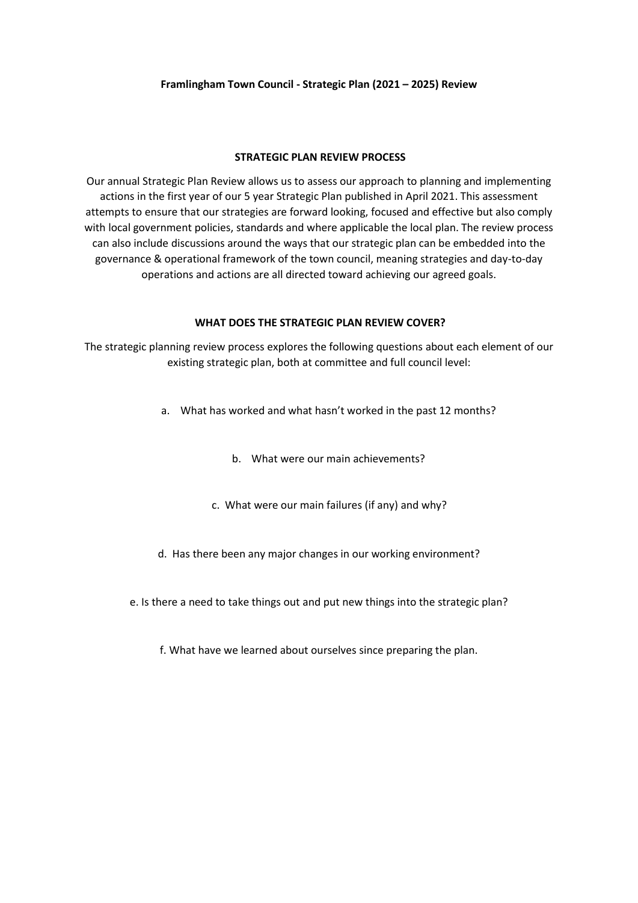#### **STRATEGIC PLAN REVIEW PROCESS**

Our annual Strategic Plan Review allows us to assess our approach to planning and implementing actions in the first year of our 5 year Strategic Plan published in April 2021. This assessment attempts to ensure that our strategies are forward looking, focused and effective but also comply with local government policies, standards and where applicable the local plan. The review process can also include discussions around the ways that our strategic plan can be embedded into the governance & operational framework of the town council, meaning strategies and day-to-day operations and actions are all directed toward achieving our agreed goals.

## **WHAT DOES THE STRATEGIC PLAN REVIEW COVER?**

The strategic planning review process explores the following questions about each element of our existing strategic plan, both at committee and full council level:

- a. What has worked and what hasn't worked in the past 12 months?
	- b. What were our main achievements?
	- c. What were our main failures (if any) and why?
- d. Has there been any major changes in our working environment?
- e. Is there a need to take things out and put new things into the strategic plan?

f. What have we learned about ourselves since preparing the plan.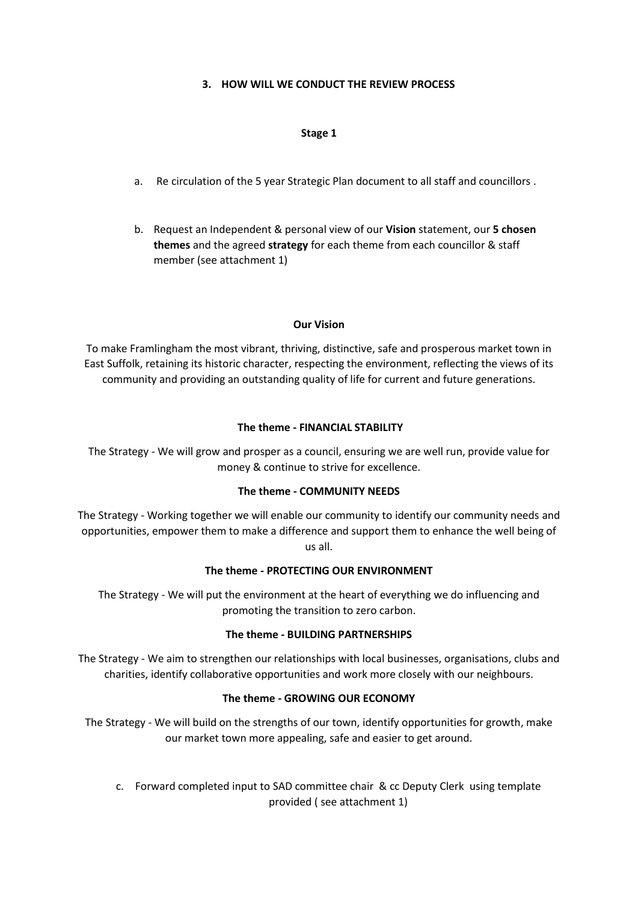## **3. HOW WILL WE CONDUCT THE REVIEW PROCESS**

## **Stage 1**

- a. Re circulation of the 5 year Strategic Plan document to all staff and councillors .
- b. Request an Independent & personal view of our **Vision** statement, our **5 chosen themes** and the agreed **strategy** for each theme from each councillor & staff member (see attachment 1)

## **Our Vision**

To make Framlingham the most vibrant, thriving, distinctive, safe and prosperous market town in East Suffolk, retaining its historic character, respecting the environment, reflecting the views of its community and providing an outstanding quality of life for current and future generations.

## **The theme - FINANCIAL STABILITY**

The Strategy - We will grow and prosper as a council, ensuring we are well run, provide value for money & continue to strive for excellence.

## **The theme - COMMUNITY NEEDS**

The Strategy - Working together we will enable our community to identify our community needs and opportunities, empower them to make a difference and support them to enhance the well being of us all.

## **The theme - PROTECTING OUR ENVIRONMENT**

The Strategy - We will put the environment at the heart of everything we do influencing and promoting the transition to zero carbon.

## **The theme - BUILDING PARTNERSHIPS**

The Strategy - We aim to strengthen our relationships with local businesses, organisations, clubs and charities, identify collaborative opportunities and work more closely with our neighbours.

## **The theme - GROWING OUR ECONOMY**

The Strategy - We will build on the strengths of our town, identify opportunities for growth, make our market town more appealing, safe and easier to get around.

c. Forward completed input to SAD committee chair & cc Deputy Clerk using template provided ( see attachment 1)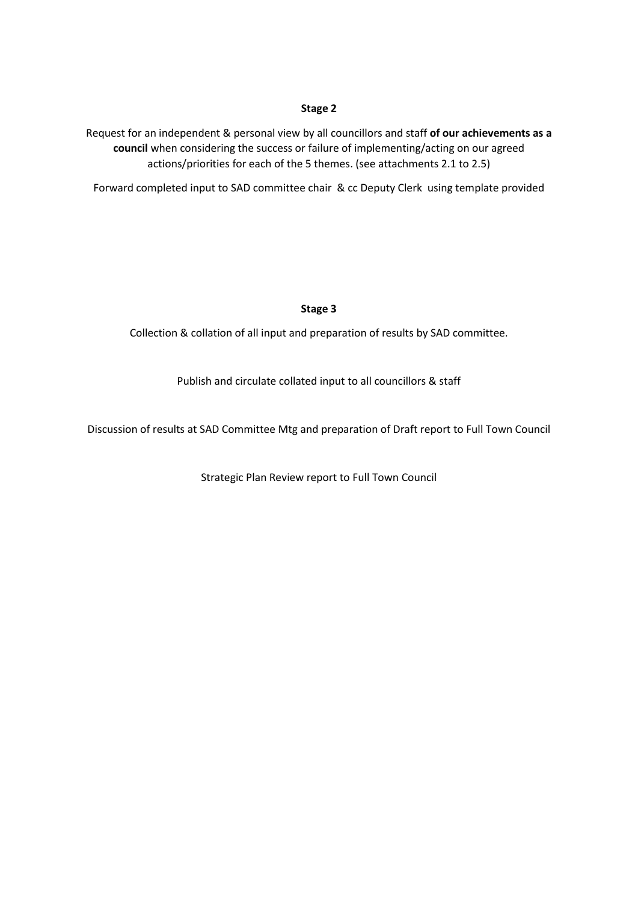## **Stage 2**

Request for an independent & personal view by all councillors and staff **of our achievements as a council** when considering the success or failure of implementing/acting on our agreed actions/priorities for each of the 5 themes. (see attachments 2.1 to 2.5)

Forward completed input to SAD committee chair & cc Deputy Clerk using template provided

## **Stage 3**

Collection & collation of all input and preparation of results by SAD committee.

Publish and circulate collated input to all councillors & staff

Discussion of results at SAD Committee Mtg and preparation of Draft report to Full Town Council

Strategic Plan Review report to Full Town Council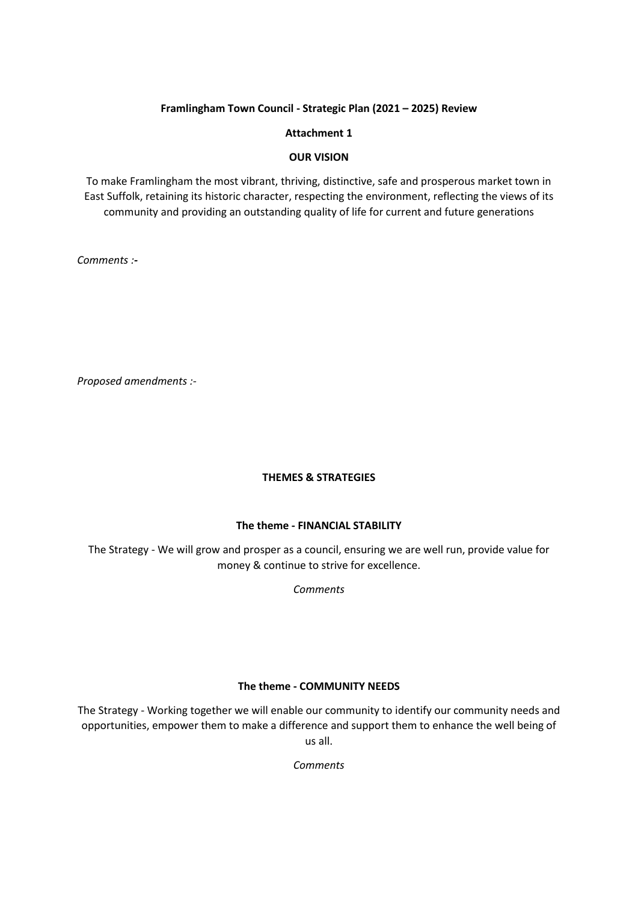## **Attachment 1**

## **OUR VISION**

To make Framlingham the most vibrant, thriving, distinctive, safe and prosperous market town in East Suffolk, retaining its historic character, respecting the environment, reflecting the views of its community and providing an outstanding quality of life for current and future generations

*Comments :-*

*Proposed amendments :-*

## **THEMES & STRATEGIES**

## **The theme - FINANCIAL STABILITY**

The Strategy - We will grow and prosper as a council, ensuring we are well run, provide value for money & continue to strive for excellence.

*Comments*

## **The theme - COMMUNITY NEEDS**

The Strategy - Working together we will enable our community to identify our community needs and opportunities, empower them to make a difference and support them to enhance the well being of us all.

*Comments*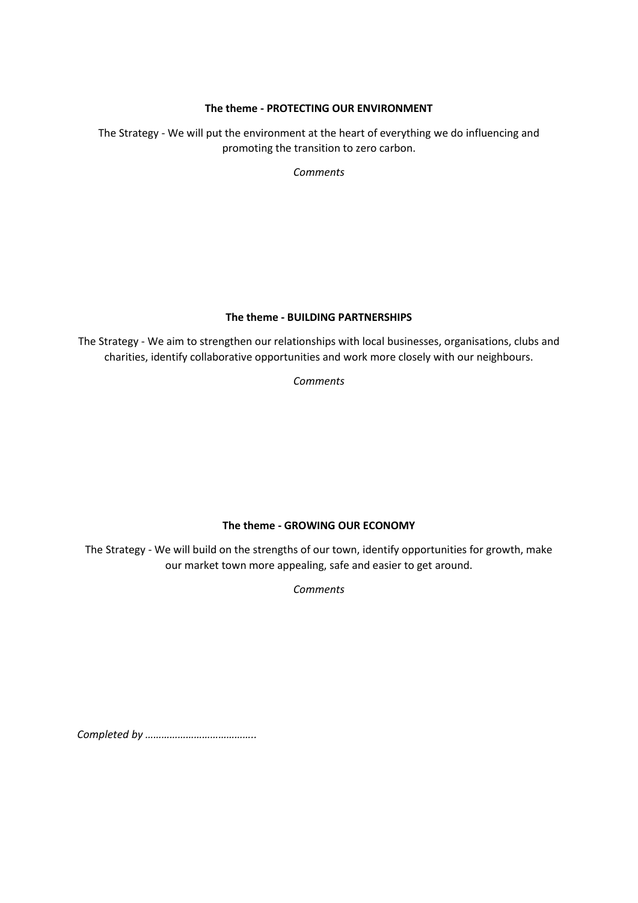## **The theme - PROTECTING OUR ENVIRONMENT**

The Strategy - We will put the environment at the heart of everything we do influencing and promoting the transition to zero carbon.

*Comments*

## **The theme - BUILDING PARTNERSHIPS**

The Strategy - We aim to strengthen our relationships with local businesses, organisations, clubs and charities, identify collaborative opportunities and work more closely with our neighbours.

*Comments*

# **The theme - GROWING OUR ECONOMY**

The Strategy - We will build on the strengths of our town, identify opportunities for growth, make our market town more appealing, safe and easier to get around.

*Comments*

*Completed by …………………………………..*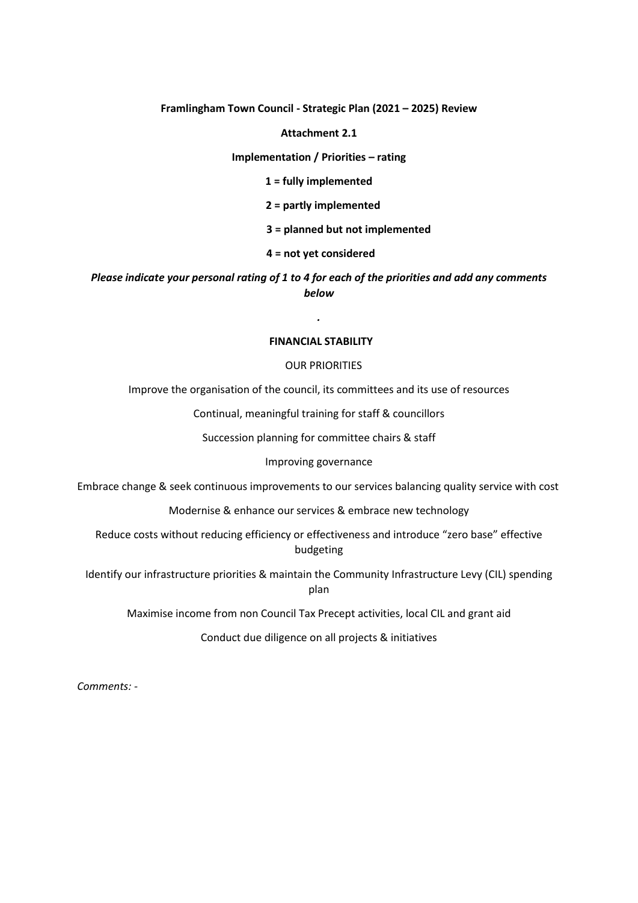#### **Attachment 2.1**

#### **Implementation / Priorities – rating**

**1 = fully implemented**

#### **2 = partly implemented**

### **3 = planned but not implemented**

### **4 = not yet considered**

# *Please indicate your personal rating of 1 to 4 for each of the priorities and add any comments below*

*.*

### **FINANCIAL STABILITY**

#### OUR PRIORITIES

Improve the organisation of the council, its committees and its use of resources

Continual, meaningful training for staff & councillors

Succession planning for committee chairs & staff

#### Improving governance

Embrace change & seek continuous improvements to our services balancing quality service with cost

Modernise & enhance our services & embrace new technology

Reduce costs without reducing efficiency or effectiveness and introduce "zero base" effective budgeting

Identify our infrastructure priorities & maintain the Community Infrastructure Levy (CIL) spending plan

Maximise income from non Council Tax Precept activities, local CIL and grant aid

Conduct due diligence on all projects & initiatives

*Comments: -*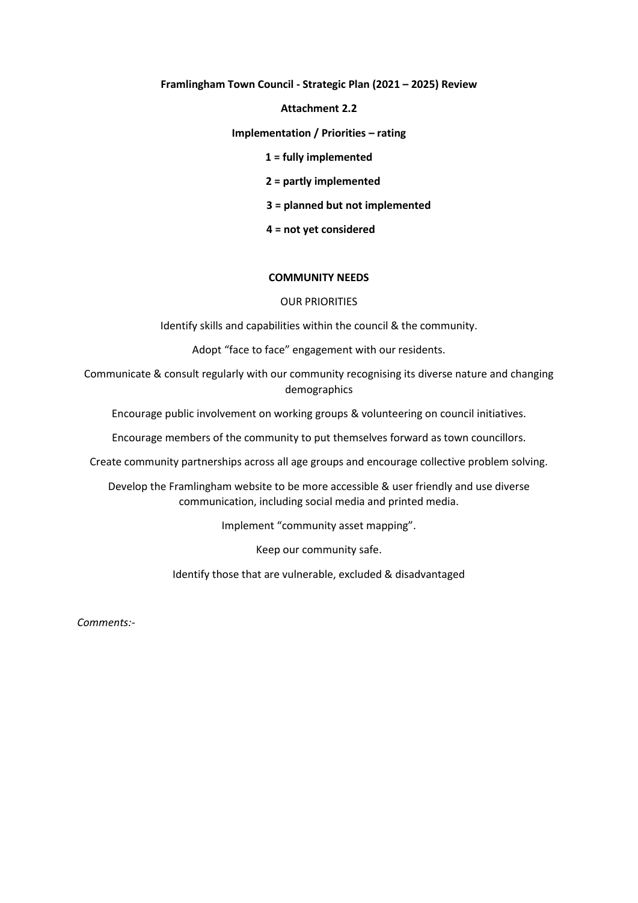#### **Attachment 2.2**

#### **Implementation / Priorities – rating**

#### **1 = fully implemented**

## **2 = partly implemented**

## **3 = planned but not implemented**

## **4 = not yet considered**

## **COMMUNITY NEEDS**

## OUR PRIORITIES

Identify skills and capabilities within the council & the community.

Adopt "face to face" engagement with our residents.

Communicate & consult regularly with our community recognising its diverse nature and changing demographics

Encourage public involvement on working groups & volunteering on council initiatives.

Encourage members of the community to put themselves forward as town councillors.

Create community partnerships across all age groups and encourage collective problem solving.

Develop the Framlingham website to be more accessible & user friendly and use diverse communication, including social media and printed media.

Implement "community asset mapping".

Keep our community safe.

Identify those that are vulnerable, excluded & disadvantaged

*Comments:-*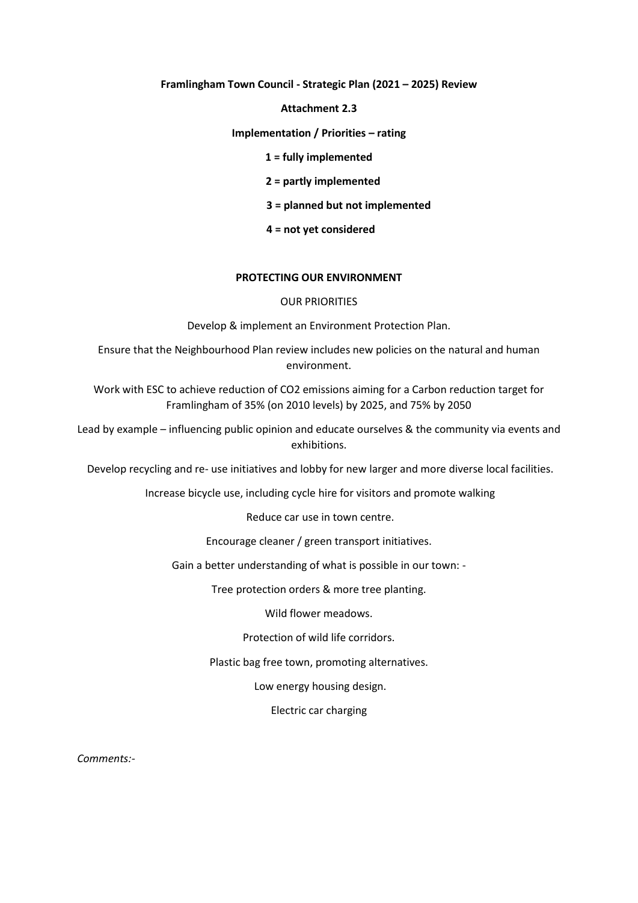#### **Attachment 2.3**

### **Implementation / Priorities – rating**

### **1 = fully implemented**

### **2 = partly implemented**

## **3 = planned but not implemented**

## **4 = not yet considered**

## **PROTECTING OUR ENVIRONMENT**

### OUR PRIORITIES

Develop & implement an Environment Protection Plan.

Ensure that the Neighbourhood Plan review includes new policies on the natural and human environment.

Work with ESC to achieve reduction of CO2 emissions aiming for a Carbon reduction target for Framlingham of 35% (on 2010 levels) by 2025, and 75% by 2050

Lead by example – influencing public opinion and educate ourselves & the community via events and exhibitions.

Develop recycling and re- use initiatives and lobby for new larger and more diverse local facilities.

Increase bicycle use, including cycle hire for visitors and promote walking

Reduce car use in town centre.

Encourage cleaner / green transport initiatives.

Gain a better understanding of what is possible in our town: -

Tree protection orders & more tree planting.

Wild flower meadows.

Protection of wild life corridors.

Plastic bag free town, promoting alternatives.

Low energy housing design.

Electric car charging

*Comments:-*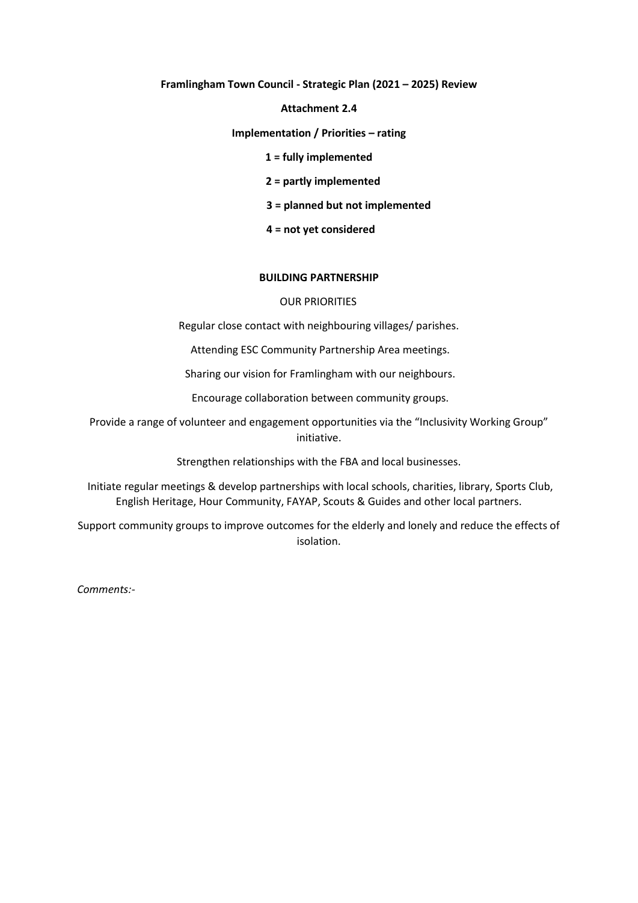#### **Attachment 2.4**

**Implementation / Priorities – rating**

### **1 = fully implemented**

 **2 = partly implemented**

 **3 = planned but not implemented**

 **4 = not yet considered**

### **BUILDING PARTNERSHIP**

### OUR PRIORITIES

Regular close contact with neighbouring villages/ parishes.

Attending ESC Community Partnership Area meetings.

Sharing our vision for Framlingham with our neighbours.

Encourage collaboration between community groups.

Provide a range of volunteer and engagement opportunities via the "Inclusivity Working Group" initiative.

Strengthen relationships with the FBA and local businesses.

Initiate regular meetings & develop partnerships with local schools, charities, library, Sports Club, English Heritage, Hour Community, FAYAP, Scouts & Guides and other local partners.

Support community groups to improve outcomes for the elderly and lonely and reduce the effects of isolation.

*Comments:-*